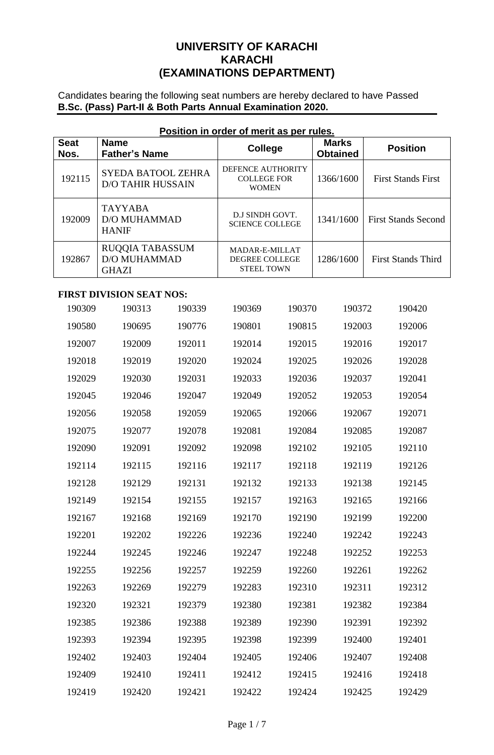# **UNIVERSITY OF KARACHI KARACHI (EXAMINATIONS DEPARTMENT)**

Candidates bearing the following seat numbers are hereby declared to have Passed **B.Sc. (Pass) Part-II & Both Parts Annual Examination 2020.**

| Position in order of merit as per rules. |                                                        |                                                                     |                                 |                            |  |  |  |  |
|------------------------------------------|--------------------------------------------------------|---------------------------------------------------------------------|---------------------------------|----------------------------|--|--|--|--|
| <b>Seat</b><br>Nos.                      | <b>Name</b><br><b>Father's Name</b>                    | <b>College</b>                                                      | <b>Marks</b><br><b>Obtained</b> | <b>Position</b>            |  |  |  |  |
| 192115                                   | <b>SYEDA BATOOL ZEHRA</b><br><b>D/O TAHIR HUSSAIN</b>  | <b>DEFENCE AUTHORITY</b><br><b>COLLEGE FOR</b><br><b>WOMEN</b>      | 1366/1600                       | <b>First Stands First</b>  |  |  |  |  |
| 192009                                   | <b>TAYYABA</b><br><b>D/O MUHAMMAD</b><br><b>HANIF</b>  | D.J SINDH GOVT.<br><b>SCIENCE COLLEGE</b>                           | 1341/1600                       | <b>First Stands Second</b> |  |  |  |  |
| 192867                                   | RUQQIA TABASSUM<br><b>D/O MUHAMMAD</b><br><b>GHAZI</b> | <b>MADAR-E-MILLAT</b><br><b>DEGREE COLLEGE</b><br><b>STEEL TOWN</b> | 1286/1600                       | <b>First Stands Third</b>  |  |  |  |  |

# **Position in order of merit as per rules.**

## **FIRST DIVISION SEAT NOS:**

| 190309 | 190313 | 190339 | 190369 | 190370 | 190372 | 190420 |
|--------|--------|--------|--------|--------|--------|--------|
| 190580 | 190695 | 190776 | 190801 | 190815 | 192003 | 192006 |
| 192007 | 192009 | 192011 | 192014 | 192015 | 192016 | 192017 |
| 192018 | 192019 | 192020 | 192024 | 192025 | 192026 | 192028 |
| 192029 | 192030 | 192031 | 192033 | 192036 | 192037 | 192041 |
| 192045 | 192046 | 192047 | 192049 | 192052 | 192053 | 192054 |
| 192056 | 192058 | 192059 | 192065 | 192066 | 192067 | 192071 |
| 192075 | 192077 | 192078 | 192081 | 192084 | 192085 | 192087 |
| 192090 | 192091 | 192092 | 192098 | 192102 | 192105 | 192110 |
| 192114 | 192115 | 192116 | 192117 | 192118 | 192119 | 192126 |
| 192128 | 192129 | 192131 | 192132 | 192133 | 192138 | 192145 |
| 192149 | 192154 | 192155 | 192157 | 192163 | 192165 | 192166 |
| 192167 | 192168 | 192169 | 192170 | 192190 | 192199 | 192200 |
| 192201 | 192202 | 192226 | 192236 | 192240 | 192242 | 192243 |
| 192244 | 192245 | 192246 | 192247 | 192248 | 192252 | 192253 |
| 192255 | 192256 | 192257 | 192259 | 192260 | 192261 | 192262 |
| 192263 | 192269 | 192279 | 192283 | 192310 | 192311 | 192312 |
| 192320 | 192321 | 192379 | 192380 | 192381 | 192382 | 192384 |
| 192385 | 192386 | 192388 | 192389 | 192390 | 192391 | 192392 |
| 192393 | 192394 | 192395 | 192398 | 192399 | 192400 | 192401 |
| 192402 | 192403 | 192404 | 192405 | 192406 | 192407 | 192408 |
| 192409 | 192410 | 192411 | 192412 | 192415 | 192416 | 192418 |
| 192419 | 192420 | 192421 | 192422 | 192424 | 192425 | 192429 |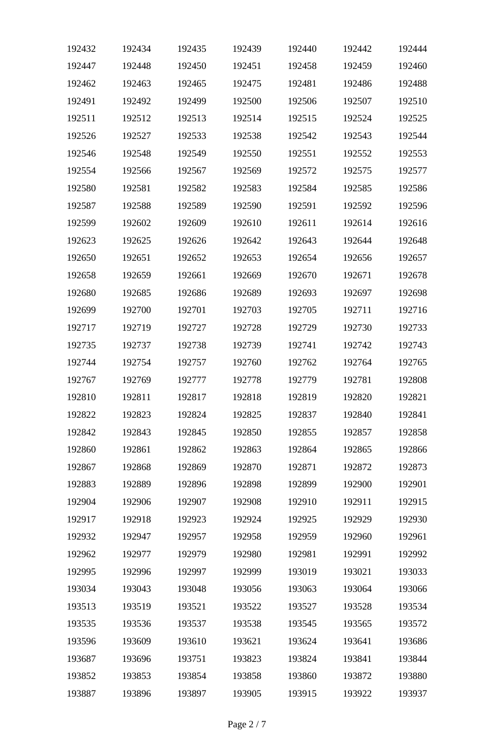| 192432 | 192434 | 192435 | 192439 | 192440 | 192442 | 192444 |
|--------|--------|--------|--------|--------|--------|--------|
| 192447 | 192448 | 192450 | 192451 | 192458 | 192459 | 192460 |
| 192462 | 192463 | 192465 | 192475 | 192481 | 192486 | 192488 |
| 192491 | 192492 | 192499 | 192500 | 192506 | 192507 | 192510 |
| 192511 | 192512 | 192513 | 192514 | 192515 | 192524 | 192525 |
| 192526 | 192527 | 192533 | 192538 | 192542 | 192543 | 192544 |
| 192546 | 192548 | 192549 | 192550 | 192551 | 192552 | 192553 |
| 192554 | 192566 | 192567 | 192569 | 192572 | 192575 | 192577 |
| 192580 | 192581 | 192582 | 192583 | 192584 | 192585 | 192586 |
| 192587 | 192588 | 192589 | 192590 | 192591 | 192592 | 192596 |
| 192599 | 192602 | 192609 | 192610 | 192611 | 192614 | 192616 |
| 192623 | 192625 | 192626 | 192642 | 192643 | 192644 | 192648 |
| 192650 | 192651 | 192652 | 192653 | 192654 | 192656 | 192657 |
| 192658 | 192659 | 192661 | 192669 | 192670 | 192671 | 192678 |
| 192680 | 192685 | 192686 | 192689 | 192693 | 192697 | 192698 |
| 192699 | 192700 | 192701 | 192703 | 192705 | 192711 | 192716 |
| 192717 | 192719 | 192727 | 192728 | 192729 | 192730 | 192733 |
| 192735 | 192737 | 192738 | 192739 | 192741 | 192742 | 192743 |
| 192744 | 192754 | 192757 | 192760 | 192762 | 192764 | 192765 |
| 192767 | 192769 | 192777 | 192778 | 192779 | 192781 | 192808 |
| 192810 | 192811 | 192817 | 192818 | 192819 | 192820 | 192821 |
| 192822 | 192823 | 192824 | 192825 | 192837 | 192840 | 192841 |
| 192842 | 192843 | 192845 | 192850 | 192855 | 192857 | 192858 |
| 192860 | 192861 | 192862 | 192863 | 192864 | 192865 | 192866 |
| 192867 | 192868 | 192869 | 192870 | 192871 | 192872 | 192873 |
| 192883 | 192889 | 192896 | 192898 | 192899 | 192900 | 192901 |
| 192904 | 192906 | 192907 | 192908 | 192910 | 192911 | 192915 |
| 192917 | 192918 | 192923 | 192924 | 192925 | 192929 | 192930 |
| 192932 | 192947 | 192957 | 192958 | 192959 | 192960 | 192961 |
| 192962 | 192977 | 192979 | 192980 | 192981 | 192991 | 192992 |
| 192995 | 192996 | 192997 | 192999 | 193019 | 193021 | 193033 |
| 193034 | 193043 | 193048 | 193056 | 193063 | 193064 | 193066 |
| 193513 | 193519 | 193521 | 193522 | 193527 | 193528 | 193534 |
| 193535 | 193536 | 193537 | 193538 | 193545 | 193565 | 193572 |
| 193596 | 193609 | 193610 | 193621 | 193624 | 193641 | 193686 |
| 193687 | 193696 | 193751 | 193823 | 193824 | 193841 | 193844 |
| 193852 | 193853 | 193854 | 193858 | 193860 | 193872 | 193880 |
| 193887 | 193896 | 193897 | 193905 | 193915 | 193922 | 193937 |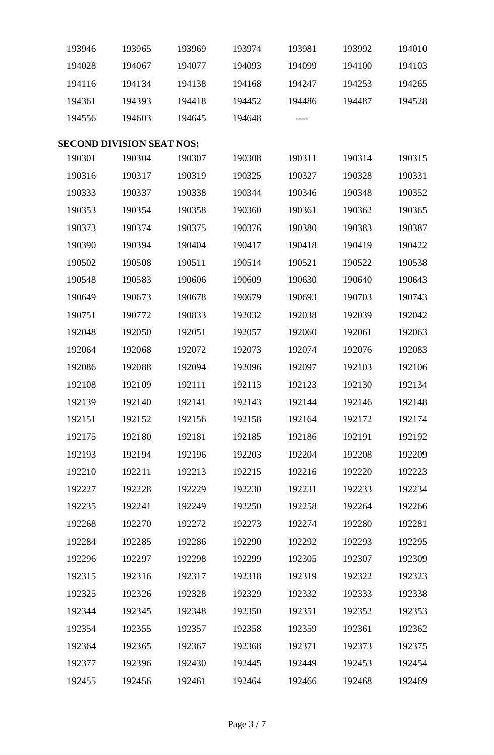| 193946 | 193965                           | 193969 | 193974 | 193981 | 193992 | 194010 |
|--------|----------------------------------|--------|--------|--------|--------|--------|
| 194028 | 194067                           | 194077 | 194093 | 194099 | 194100 | 194103 |
| 194116 | 194134                           | 194138 | 194168 | 194247 | 194253 | 194265 |
| 194361 | 194393                           | 194418 | 194452 | 194486 | 194487 | 194528 |
| 194556 | 194603                           | 194645 | 194648 | ----   |        |        |
|        | <b>SECOND DIVISION SEAT NOS:</b> |        |        |        |        |        |
| 190301 | 190304                           | 190307 | 190308 | 190311 | 190314 | 190315 |
| 190316 | 190317                           | 190319 | 190325 | 190327 | 190328 | 190331 |
| 190333 | 190337                           | 190338 | 190344 | 190346 | 190348 | 190352 |
| 190353 | 190354                           | 190358 | 190360 | 190361 | 190362 | 190365 |
| 190373 | 190374                           | 190375 | 190376 | 190380 | 190383 | 190387 |
| 190390 | 190394                           | 190404 | 190417 | 190418 | 190419 | 190422 |
| 190502 | 190508                           | 190511 | 190514 | 190521 | 190522 | 190538 |
| 190548 | 190583                           | 190606 | 190609 | 190630 | 190640 | 190643 |
| 190649 | 190673                           | 190678 | 190679 | 190693 | 190703 | 190743 |
| 190751 | 190772                           | 190833 | 192032 | 192038 | 192039 | 192042 |
| 192048 | 192050                           | 192051 | 192057 | 192060 | 192061 | 192063 |
| 192064 | 192068                           | 192072 | 192073 | 192074 | 192076 | 192083 |
| 192086 | 192088                           | 192094 | 192096 | 192097 | 192103 | 192106 |
| 192108 | 192109                           | 192111 | 192113 | 192123 | 192130 | 192134 |
| 192139 | 192140                           | 192141 | 192143 | 192144 | 192146 | 192148 |
| 192151 | 192152                           | 192156 | 192158 | 192164 | 192172 | 192174 |
| 192175 | 192180                           | 192181 | 192185 | 192186 | 192191 | 192192 |
| 192193 | 192194                           | 192196 | 192203 | 192204 | 192208 | 192209 |
| 192210 | 192211                           | 192213 | 192215 | 192216 | 192220 | 192223 |
| 192227 | 192228                           | 192229 | 192230 | 192231 | 192233 | 192234 |
| 192235 | 192241                           | 192249 | 192250 | 192258 | 192264 | 192266 |
| 192268 | 192270                           | 192272 | 192273 | 192274 | 192280 | 192281 |
| 192284 | 192285                           | 192286 | 192290 | 192292 | 192293 | 192295 |
| 192296 | 192297                           | 192298 | 192299 | 192305 | 192307 | 192309 |
| 192315 | 192316                           | 192317 | 192318 | 192319 | 192322 | 192323 |
| 192325 | 192326                           | 192328 | 192329 | 192332 | 192333 | 192338 |
| 192344 | 192345                           | 192348 | 192350 | 192351 | 192352 | 192353 |
| 192354 | 192355                           | 192357 | 192358 | 192359 | 192361 | 192362 |
| 192364 | 192365                           | 192367 | 192368 | 192371 | 192373 | 192375 |
| 192377 | 192396                           | 192430 | 192445 | 192449 | 192453 | 192454 |
| 192455 | 192456                           | 192461 | 192464 | 192466 | 192468 | 192469 |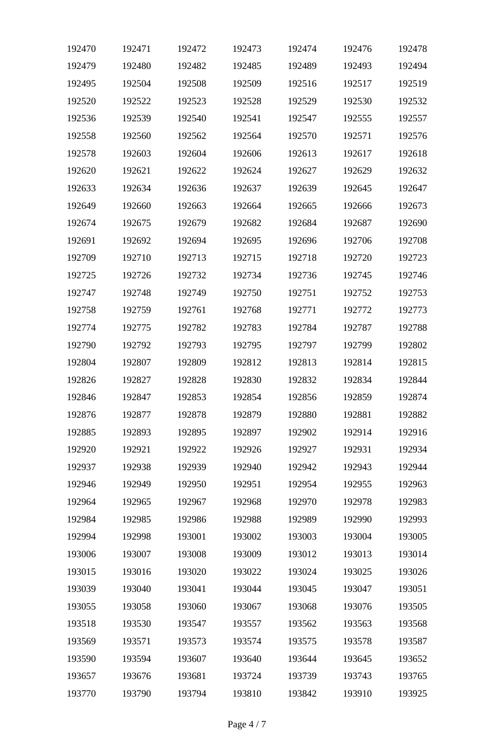| 192470 | 192471 | 192472 | 192473 | 192474 | 192476 | 192478 |
|--------|--------|--------|--------|--------|--------|--------|
| 192479 | 192480 | 192482 | 192485 | 192489 | 192493 | 192494 |
| 192495 | 192504 | 192508 | 192509 | 192516 | 192517 | 192519 |
| 192520 | 192522 | 192523 | 192528 | 192529 | 192530 | 192532 |
| 192536 | 192539 | 192540 | 192541 | 192547 | 192555 | 192557 |
| 192558 | 192560 | 192562 | 192564 | 192570 | 192571 | 192576 |
| 192578 | 192603 | 192604 | 192606 | 192613 | 192617 | 192618 |
| 192620 | 192621 | 192622 | 192624 | 192627 | 192629 | 192632 |
| 192633 | 192634 | 192636 | 192637 | 192639 | 192645 | 192647 |
| 192649 | 192660 | 192663 | 192664 | 192665 | 192666 | 192673 |
| 192674 | 192675 | 192679 | 192682 | 192684 | 192687 | 192690 |
| 192691 | 192692 | 192694 | 192695 | 192696 | 192706 | 192708 |
| 192709 | 192710 | 192713 | 192715 | 192718 | 192720 | 192723 |
| 192725 | 192726 | 192732 | 192734 | 192736 | 192745 | 192746 |
| 192747 | 192748 | 192749 | 192750 | 192751 | 192752 | 192753 |
| 192758 | 192759 | 192761 | 192768 | 192771 | 192772 | 192773 |
| 192774 | 192775 | 192782 | 192783 | 192784 | 192787 | 192788 |
| 192790 | 192792 | 192793 | 192795 | 192797 | 192799 | 192802 |
| 192804 | 192807 | 192809 | 192812 | 192813 | 192814 | 192815 |
| 192826 | 192827 | 192828 | 192830 | 192832 | 192834 | 192844 |
| 192846 | 192847 | 192853 | 192854 | 192856 | 192859 | 192874 |
| 192876 | 192877 | 192878 | 192879 | 192880 | 192881 | 192882 |
| 192885 | 192893 | 192895 | 192897 | 192902 | 192914 | 192916 |
| 192920 | 192921 | 192922 | 192926 | 192927 | 192931 | 192934 |
| 192937 | 192938 | 192939 | 192940 | 192942 | 192943 | 192944 |
| 192946 | 192949 | 192950 | 192951 | 192954 | 192955 | 192963 |
| 192964 | 192965 | 192967 | 192968 | 192970 | 192978 | 192983 |
| 192984 | 192985 | 192986 | 192988 | 192989 | 192990 | 192993 |
| 192994 | 192998 | 193001 | 193002 | 193003 | 193004 | 193005 |
| 193006 | 193007 | 193008 | 193009 | 193012 | 193013 | 193014 |
| 193015 | 193016 | 193020 | 193022 | 193024 | 193025 | 193026 |
| 193039 | 193040 | 193041 | 193044 | 193045 | 193047 | 193051 |
| 193055 | 193058 | 193060 | 193067 | 193068 | 193076 | 193505 |
| 193518 | 193530 | 193547 | 193557 | 193562 | 193563 | 193568 |
| 193569 | 193571 | 193573 | 193574 | 193575 | 193578 | 193587 |
| 193590 | 193594 | 193607 | 193640 | 193644 | 193645 | 193652 |
| 193657 | 193676 | 193681 | 193724 | 193739 | 193743 | 193765 |
| 193770 | 193790 | 193794 | 193810 | 193842 | 193910 | 193925 |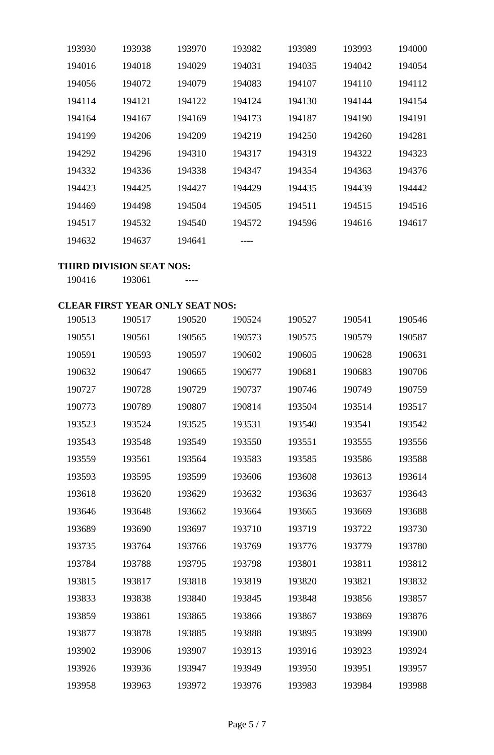| 193930 | 193938 | 193970 | 193982 | 193989 | 193993 | 194000 |
|--------|--------|--------|--------|--------|--------|--------|
| 194016 | 194018 | 194029 | 194031 | 194035 | 194042 | 194054 |
| 194056 | 194072 | 194079 | 194083 | 194107 | 194110 | 194112 |
| 194114 | 194121 | 194122 | 194124 | 194130 | 194144 | 194154 |
| 194164 | 194167 | 194169 | 194173 | 194187 | 194190 | 194191 |
| 194199 | 194206 | 194209 | 194219 | 194250 | 194260 | 194281 |
| 194292 | 194296 | 194310 | 194317 | 194319 | 194322 | 194323 |
| 194332 | 194336 | 194338 | 194347 | 194354 | 194363 | 194376 |
| 194423 | 194425 | 194427 | 194429 | 194435 | 194439 | 194442 |
| 194469 | 194498 | 194504 | 194505 | 194511 | 194515 | 194516 |
| 194517 | 194532 | 194540 | 194572 | 194596 | 194616 | 194617 |
| 194632 | 194637 | 194641 |        |        |        |        |

### **THIRD DIVISION SEAT NOS:**

193061 ----

## **CLEAR FIRST YEAR ONLY SEAT NOS:**

| 190513 | 190517 | 190520 | 190524 | 190527 | 190541 | 190546 |
|--------|--------|--------|--------|--------|--------|--------|
| 190551 | 190561 | 190565 | 190573 | 190575 | 190579 | 190587 |
| 190591 | 190593 | 190597 | 190602 | 190605 | 190628 | 190631 |
| 190632 | 190647 | 190665 | 190677 | 190681 | 190683 | 190706 |
| 190727 | 190728 | 190729 | 190737 | 190746 | 190749 | 190759 |
| 190773 | 190789 | 190807 | 190814 | 193504 | 193514 | 193517 |
| 193523 | 193524 | 193525 | 193531 | 193540 | 193541 | 193542 |
| 193543 | 193548 | 193549 | 193550 | 193551 | 193555 | 193556 |
| 193559 | 193561 | 193564 | 193583 | 193585 | 193586 | 193588 |
| 193593 | 193595 | 193599 | 193606 | 193608 | 193613 | 193614 |
| 193618 | 193620 | 193629 | 193632 | 193636 | 193637 | 193643 |
| 193646 | 193648 | 193662 | 193664 | 193665 | 193669 | 193688 |
| 193689 | 193690 | 193697 | 193710 | 193719 | 193722 | 193730 |
| 193735 | 193764 | 193766 | 193769 | 193776 | 193779 | 193780 |
| 193784 | 193788 | 193795 | 193798 | 193801 | 193811 | 193812 |
| 193815 | 193817 | 193818 | 193819 | 193820 | 193821 | 193832 |
| 193833 | 193838 | 193840 | 193845 | 193848 | 193856 | 193857 |
| 193859 | 193861 | 193865 | 193866 | 193867 | 193869 | 193876 |
| 193877 | 193878 | 193885 | 193888 | 193895 | 193899 | 193900 |
| 193902 | 193906 | 193907 | 193913 | 193916 | 193923 | 193924 |
| 193926 | 193936 | 193947 | 193949 | 193950 | 193951 | 193957 |
| 193958 | 193963 | 193972 | 193976 | 193983 | 193984 | 193988 |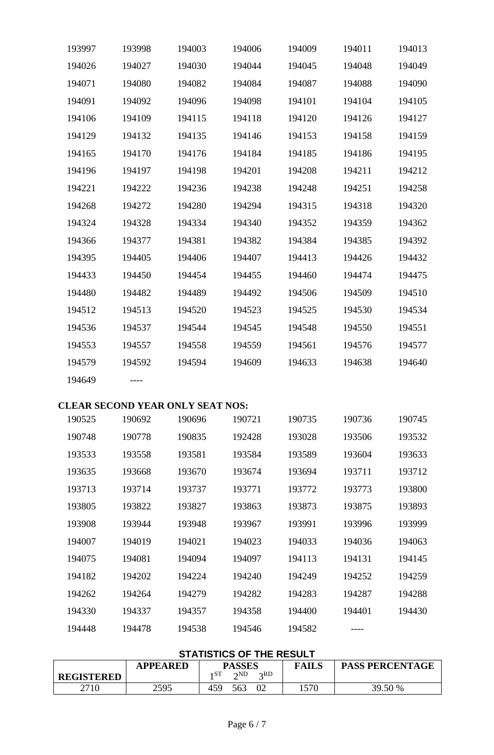| 193997 | 193998 | 194003 | 194006 | 194009 | 194011 | 194013 |
|--------|--------|--------|--------|--------|--------|--------|
| 194026 | 194027 | 194030 | 194044 | 194045 | 194048 | 194049 |
| 194071 | 194080 | 194082 | 194084 | 194087 | 194088 | 194090 |
| 194091 | 194092 | 194096 | 194098 | 194101 | 194104 | 194105 |
| 194106 | 194109 | 194115 | 194118 | 194120 | 194126 | 194127 |
| 194129 | 194132 | 194135 | 194146 | 194153 | 194158 | 194159 |
| 194165 | 194170 | 194176 | 194184 | 194185 | 194186 | 194195 |
| 194196 | 194197 | 194198 | 194201 | 194208 | 194211 | 194212 |
| 194221 | 194222 | 194236 | 194238 | 194248 | 194251 | 194258 |
| 194268 | 194272 | 194280 | 194294 | 194315 | 194318 | 194320 |
| 194324 | 194328 | 194334 | 194340 | 194352 | 194359 | 194362 |
| 194366 | 194377 | 194381 | 194382 | 194384 | 194385 | 194392 |
| 194395 | 194405 | 194406 | 194407 | 194413 | 194426 | 194432 |
| 194433 | 194450 | 194454 | 194455 | 194460 | 194474 | 194475 |
| 194480 | 194482 | 194489 | 194492 | 194506 | 194509 | 194510 |
| 194512 | 194513 | 194520 | 194523 | 194525 | 194530 | 194534 |
| 194536 | 194537 | 194544 | 194545 | 194548 | 194550 | 194551 |
| 194553 | 194557 | 194558 | 194559 | 194561 | 194576 | 194577 |
| 194579 | 194592 | 194594 | 194609 | 194633 | 194638 | 194640 |
| 194649 |        |        |        |        |        |        |
|        |        |        |        |        |        |        |

## **CLEAR SECOND YEAR ONLY SEAT NOS:**

|        | ◡◡▴៶◡  | <b>TERM ORD LOBRITING</b> |        |        |        |        |
|--------|--------|---------------------------|--------|--------|--------|--------|
| 190525 | 190692 | 190696                    | 190721 | 190735 | 190736 | 190745 |
| 190748 | 190778 | 190835                    | 192428 | 193028 | 193506 | 193532 |
| 193533 | 193558 | 193581                    | 193584 | 193589 | 193604 | 193633 |
| 193635 | 193668 | 193670                    | 193674 | 193694 | 193711 | 193712 |
| 193713 | 193714 | 193737                    | 193771 | 193772 | 193773 | 193800 |
| 193805 | 193822 | 193827                    | 193863 | 193873 | 193875 | 193893 |
| 193908 | 193944 | 193948                    | 193967 | 193991 | 193996 | 193999 |
| 194007 | 194019 | 194021                    | 194023 | 194033 | 194036 | 194063 |
| 194075 | 194081 | 194094                    | 194097 | 194113 | 194131 | 194145 |
| 194182 | 194202 | 194224                    | 194240 | 194249 | 194252 | 194259 |
| 194262 | 194264 | 194279                    | 194282 | 194283 | 194287 | 194288 |
| 194330 | 194337 | 194357                    | 194358 | 194400 | 194401 | 194430 |
| 194448 | 194478 | 194538                    | 194546 | 194582 |        |        |

# **STATISTICS OF THE RESULT**

|                   | <b>APPEARED</b> | <b>PASSES</b>                         | <b>FAILS</b> | <b>PASS PERCENTAGE</b> |
|-------------------|-----------------|---------------------------------------|--------------|------------------------|
| <b>REGISTERED</b> |                 | ı ST<br>$\gamma$ <sub>ND</sub><br>2RD |              |                        |
| 2710              | 2595            | 02<br>563<br>459                      | 1570         | 39.50 %                |